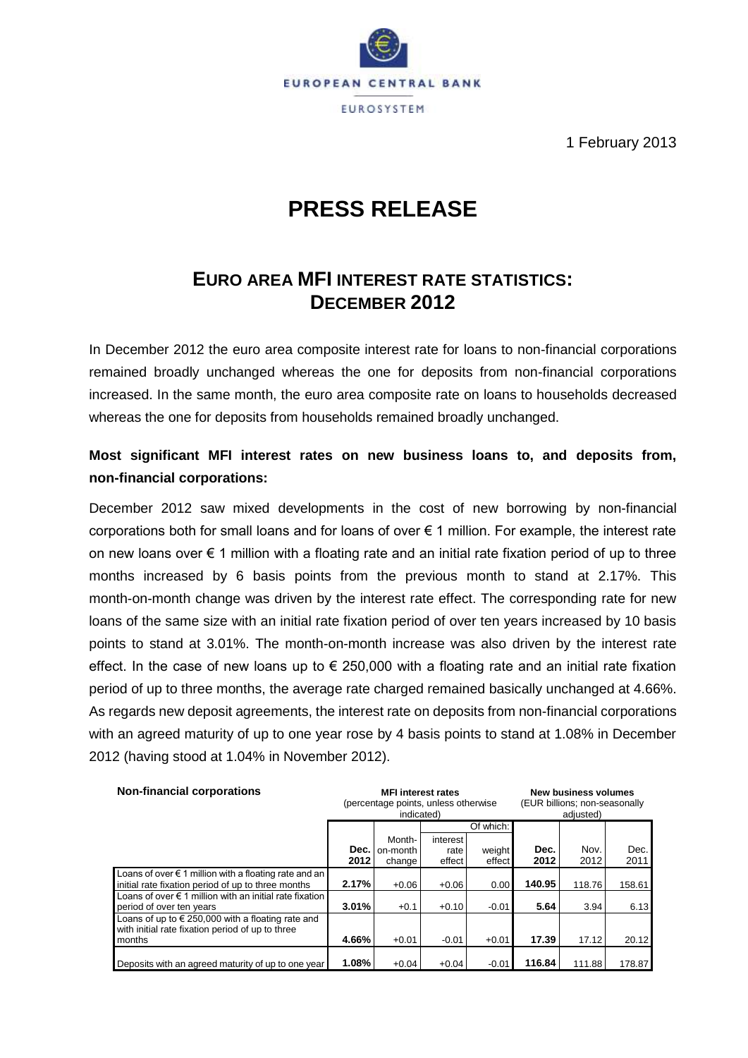

1 February 2013

# **PRESS RELEASE**

# **EURO AREA MFI INTEREST RATE STATISTICS: DECEMBER 2012**

In December 2012 the euro area composite interest rate for loans to non-financial corporations remained broadly unchanged whereas the one for deposits from non-financial corporations increased. In the same month, the euro area composite rate on loans to households decreased whereas the one for deposits from households remained broadly unchanged.

### **Most significant MFI interest rates on new business loans to, and deposits from, non-financial corporations:**

December 2012 saw mixed developments in the cost of new borrowing by non-financial corporations both for small loans and for loans of over € 1 million. For example, the interest rate on new loans over € 1 million with a floating rate and an initial rate fixation period of up to three months increased by 6 basis points from the previous month to stand at 2.17%. This month-on-month change was driven by the interest rate effect. The corresponding rate for new loans of the same size with an initial rate fixation period of over ten years increased by 10 basis points to stand at 3.01%. The month-on-month increase was also driven by the interest rate effect. In the case of new loans up to  $\epsilon$  250,000 with a floating rate and an initial rate fixation period of up to three months, the average rate charged remained basically unchanged at 4.66%. As regards new deposit agreements, the interest rate on deposits from non-financial corporations with an agreed maturity of up to one year rose by 4 basis points to stand at 1.08% in December 2012 (having stood at 1.04% in November 2012).

| <b>Non-financial corporations</b>                                                                                    |              | <b>MFI</b> interest rates<br>(percentage points, unless otherwise<br>indicated) |                            | <b>New business volumes</b><br>(EUR billions; non-seasonally<br>adjusted) |              |              |              |  |
|----------------------------------------------------------------------------------------------------------------------|--------------|---------------------------------------------------------------------------------|----------------------------|---------------------------------------------------------------------------|--------------|--------------|--------------|--|
|                                                                                                                      |              |                                                                                 |                            | Of which:                                                                 |              |              |              |  |
|                                                                                                                      | Dec.<br>2012 | Month-<br>on-month<br>change                                                    | interest<br>rate<br>effect | weight<br>effect                                                          | Dec.<br>2012 | Nov.<br>2012 | Dec.<br>2011 |  |
| Loans of over $\epsilon$ 1 million with a floating rate and an<br>initial rate fixation period of up to three months | 2.17%        | $+0.06$                                                                         | $+0.06$                    | 0.00                                                                      | 140.95       | 118.76       | 158.61       |  |
| Loans of over $\epsilon$ 1 million with an initial rate fixation<br>period of over ten years                         | 3.01%        | $+0.1$                                                                          | $+0.10$                    | $-0.01$                                                                   | 5.64         | 3.94         | 6.13         |  |
| Loans of up to $\in$ 250,000 with a floating rate and<br>with initial rate fixation period of up to three<br>months  | 4.66%        | $+0.01$                                                                         | $-0.01$                    | $+0.01$                                                                   | 17.39        | 17.12        | 20.12        |  |
| Deposits with an agreed maturity of up to one year                                                                   | 1.08%        | $+0.04$                                                                         | $+0.04$                    | $-0.01$                                                                   | 116.84       | 111.88       | 178.87       |  |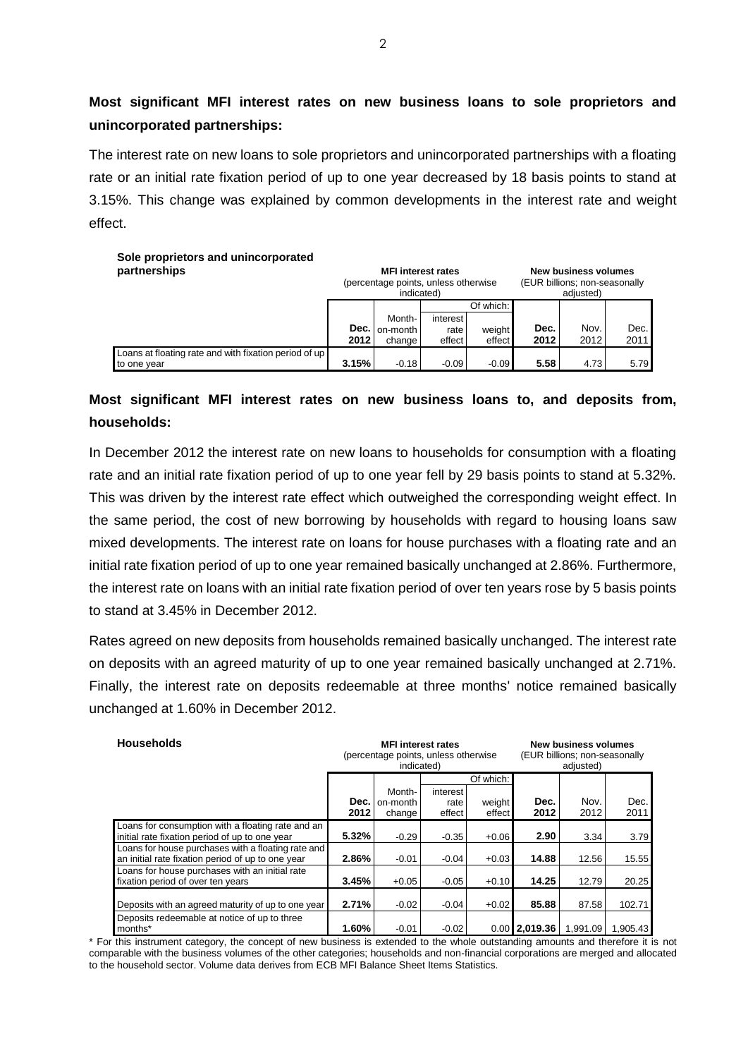### **Most significant MFI interest rates on new business loans to sole proprietors and unincorporated partnerships:**

The interest rate on new loans to sole proprietors and unincorporated partnerships with a floating rate or an initial rate fixation period of up to one year decreased by 18 basis points to stand at 3.15%. This change was explained by common developments in the interest rate and weight effect.

| Sole proprietors and unincorporated<br>partnerships                  | <b>New business volumes</b><br><b>MFI</b> interest rates<br>(percentage points, unless otherwise<br>(EUR billions; non-seasonally<br>indicated)<br>adjusted) |                              |                            |                  |              |              |              |  |  |  |  |  |
|----------------------------------------------------------------------|--------------------------------------------------------------------------------------------------------------------------------------------------------------|------------------------------|----------------------------|------------------|--------------|--------------|--------------|--|--|--|--|--|
|                                                                      |                                                                                                                                                              |                              |                            | Of which:        |              |              |              |  |  |  |  |  |
|                                                                      | Dec.<br>2012                                                                                                                                                 | Month-<br>on-month<br>change | interest<br>rate<br>effect | weight<br>effect | Dec.<br>2012 | Nov.<br>2012 | Dec.<br>2011 |  |  |  |  |  |
| Loans at floating rate and with fixation period of up<br>to one year | 3.15%                                                                                                                                                        | $-0.18$                      | $-0.09$                    | $-0.09$          | 5.58         | 4.73         | 5.79         |  |  |  |  |  |

### **Most significant MFI interest rates on new business loans to, and deposits from, households:**

In December 2012 the interest rate on new loans to households for consumption with a floating rate and an initial rate fixation period of up to one year fell by 29 basis points to stand at 5.32%. This was driven by the interest rate effect which outweighed the corresponding weight effect. In the same period, the cost of new borrowing by households with regard to housing loans saw mixed developments. The interest rate on loans for house purchases with a floating rate and an initial rate fixation period of up to one year remained basically unchanged at 2.86%. Furthermore, the interest rate on loans with an initial rate fixation period of over ten years rose by 5 basis points to stand at 3.45% in December 2012.

Rates agreed on new deposits from households remained basically unchanged. The interest rate on deposits with an agreed maturity of up to one year remained basically unchanged at 2.71%. Finally, the interest rate on deposits redeemable at three months' notice remained basically unchanged at 1.60% in December 2012.

| <b>Households</b>                                                                                       |              | <b>MFI</b> interest rates<br>(percentage points, unless otherwise<br>indicated) |                            |                  | New business volumes<br>(EUR billions; non-seasonally<br>adjusted) |              |              |
|---------------------------------------------------------------------------------------------------------|--------------|---------------------------------------------------------------------------------|----------------------------|------------------|--------------------------------------------------------------------|--------------|--------------|
|                                                                                                         |              |                                                                                 |                            |                  |                                                                    |              |              |
|                                                                                                         | Dec.<br>2012 | Month-<br>on-month<br>change                                                    | interest<br>rate<br>effect | weight<br>effect | Dec.<br>2012                                                       | Nov.<br>2012 | Dec.<br>2011 |
| Loans for consumption with a floating rate and an<br>initial rate fixation period of up to one year     | 5.32%        | $-0.29$                                                                         | $-0.35$                    | $+0.06$          | 2.90                                                               | 3.34         | 3.79         |
| Loans for house purchases with a floating rate and<br>an initial rate fixation period of up to one year | 2.86%        | $-0.01$                                                                         | $-0.04$                    | $+0.03$          | 14.88                                                              | 12.56        | 15.55        |
| Loans for house purchases with an initial rate<br>fixation period of over ten years                     | 3.45%        | $+0.05$                                                                         | $-0.05$                    | $+0.10$          | 14.25                                                              | 12.79        | 20.25        |
| Deposits with an agreed maturity of up to one year                                                      | 2.71%        | $-0.02$                                                                         | $-0.04$                    | $+0.02$          | 85.88                                                              | 87.58        | 102.71       |
| Deposits redeemable at notice of up to three<br>months*                                                 | 1.60%        | $-0.01$                                                                         | $-0.02$                    |                  | $0.00$ 2.019.36                                                    | 1.991.09     | 1.905.43     |

\* For this instrument category, the concept of new business is extended to the whole outstanding amounts and therefore it is not comparable with the business volumes of the other categories; households and non-financial corporations are merged and allocated to the household sector. Volume data derives from ECB MFI Balance Sheet Items Statistics.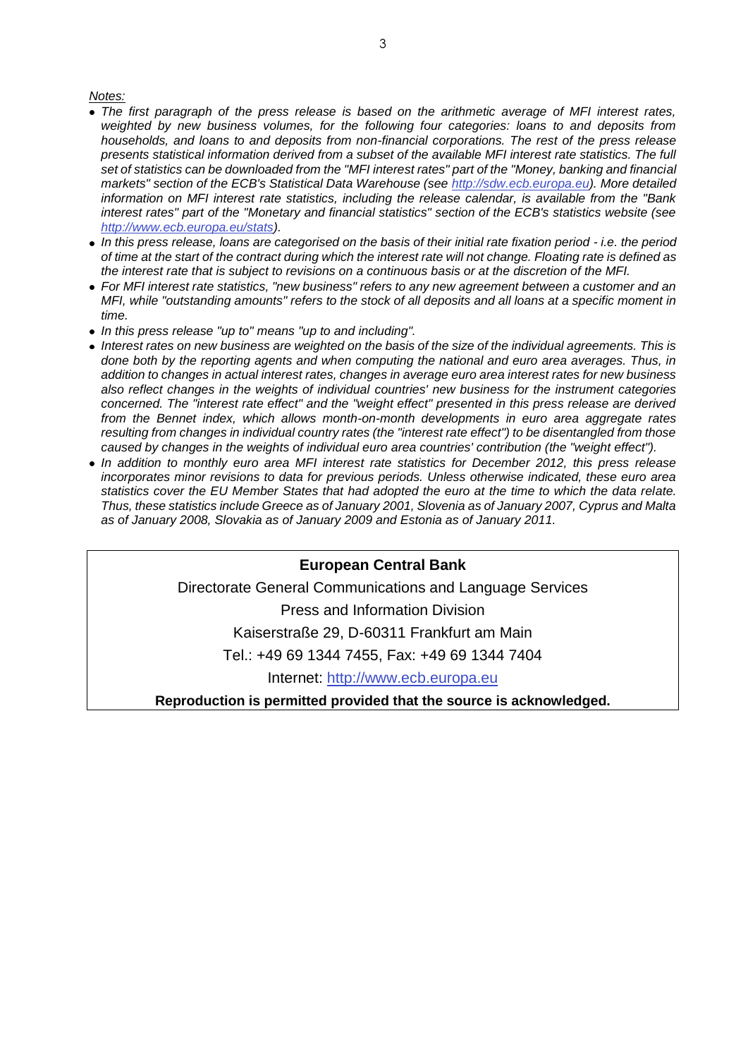#### *Notes:*

- *The first paragraph of the press release is based on the arithmetic average of MFI interest rates, weighted by new business volumes, for the following four categories: loans to and deposits from households, and loans to and deposits from non-financial corporations. The rest of the press release presents statistical information derived from a subset of the available MFI interest rate statistics. The full*  set of statistics can be downloaded from the "MFI interest rates" part of the "Money, banking and financial *markets" section of the ECB's Statistical Data Warehouse (see [http://sdw.ecb.europa.eu\)](http://sdw.ecb.europa.eu/). More detailed information on MFI interest rate statistics, including the release calendar, is available from the "Bank interest rates" part of the "Monetary and financial statistics" section of the ECB's statistics website (see [http://www.ecb.europa.eu/stats\)](http://www.ecb.europa.eu/stats).*
- *In this press release, loans are categorised on the basis of their initial rate fixation period - i.e. the period of time at the start of the contract during which the interest rate will not change. Floating rate is defined as the interest rate that is subject to revisions on a continuous basis or at the discretion of the MFI.*
- *For MFI interest rate statistics, "new business" refers to any new agreement between a customer and an MFI, while "outstanding amounts" refers to the stock of all deposits and all loans at a specific moment in time.*
- *In this press release "up to" means "up to and including".*
- *Interest rates on new business are weighted on the basis of the size of the individual agreements. This is done both by the reporting agents and when computing the national and euro area averages. Thus, in addition to changes in actual interest rates, changes in average euro area interest rates for new business also reflect changes in the weights of individual countries' new business for the instrument categories concerned. The "interest rate effect" and the "weight effect" presented in this press release are derived from the Bennet index, which allows month-on-month developments in euro area aggregate rates resulting from changes in individual country rates (the "interest rate effect") to be disentangled from those caused by changes in the weights of individual euro area countries' contribution (the "weight effect").*
- *In addition to monthly euro area MFI interest rate statistics for December 2012, this press release incorporates minor revisions to data for previous periods. Unless otherwise indicated, these euro area statistics cover the EU Member States that had adopted the euro at the time to which the data relate. Thus, these statistics include Greece as of January 2001, Slovenia as of January 2007, Cyprus and Malta as of January 2008, Slovakia as of January 2009 and Estonia as of January 2011.*

### **European Central Bank**

Directorate General Communications and Language Services

Press and Information Division

Kaiserstraße 29, D-60311 Frankfurt am Main

Tel.: +49 69 1344 7455, Fax: +49 69 1344 7404

Internet: [http://www.ecb.europa.eu](http://www.ecb.europa.eu/)

**Reproduction is permitted provided that the source is acknowledged.**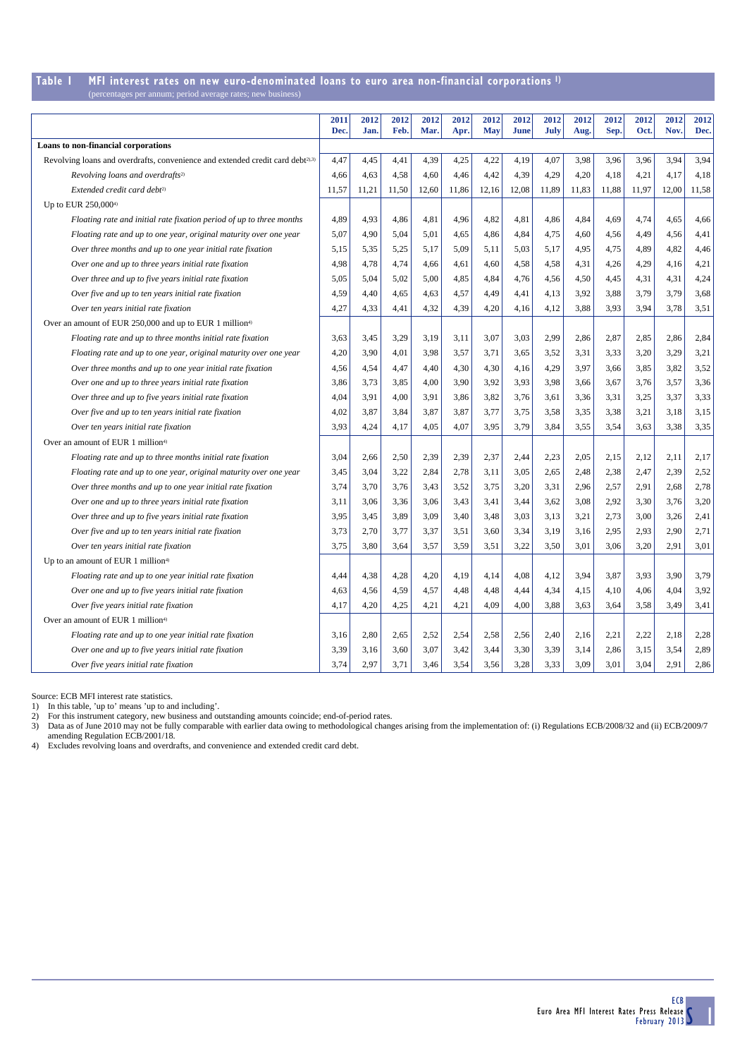#### **Table 1 MFI interest rates on new euro-denominated loans to euro area non-financial corporations 1)** es per annum; period average rates; new

|                                                                                            | 2011<br>Dec. | 2012<br>Jan. | 2012<br>Feb. | 2012<br>Mar. | 2012<br>Apr. | 2012<br><b>May</b> | 2012<br><b>June</b> | 2012<br>July | 2012<br>Aug. | 2012<br>Sep. | 2012<br>Oct. | 2012<br>Nov. | 2012<br>Dec. |
|--------------------------------------------------------------------------------------------|--------------|--------------|--------------|--------------|--------------|--------------------|---------------------|--------------|--------------|--------------|--------------|--------------|--------------|
| Loans to non-financial corporations                                                        |              |              |              |              |              |                    |                     |              |              |              |              |              |              |
| Revolving loans and overdrafts, convenience and extended credit card debt <sup>2),3)</sup> | 4,47         | 4,45         | 4,41         | 4,39         | 4,25         | 4,22               | 4,19                | 4,07         | 3,98         | 3,96         | 3,96         | 3,94         | 3,94         |
| Revolving loans and overdrafts <sup>2)</sup>                                               | 4,66         | 4,63         | 4,58         | 4,60         | 4,46         | 4,42               | 4,39                | 4,29         | 4,20         | 4,18         | 4,21         | 4,17         | 4,18         |
| Extended credit card debt <sup>2)</sup>                                                    | 11,57        | 11,21        | 11,50        | 12,60        | 11,86        | 12,16              | 12,08               | 11,89        | 11,83        | 11,88        | 11,97        | 12,00        | 11,58        |
| Up to EUR 250,000 <sup>4)</sup>                                                            |              |              |              |              |              |                    |                     |              |              |              |              |              |              |
| Floating rate and initial rate fixation period of up to three months                       | 4,89         | 4,93         | 4,86         | 4,81         | 4,96         | 4,82               | 4,81                | 4,86         | 4,84         | 4,69         | 4,74         | 4,65         | 4,66         |
| Floating rate and up to one year, original maturity over one year                          | 5,07         | 4,90         | 5,04         | 5,01         | 4,65         | 4,86               | 4,84                | 4,75         | 4,60         | 4,56         | 4,49         | 4,56         | 4,41         |
| Over three months and up to one year initial rate fixation                                 | 5,15         | 5,35         | 5,25         | 5,17         | 5,09         | 5,11               | 5,03                | 5,17         | 4,95         | 4,75         | 4,89         | 4,82         | 4,46         |
| Over one and up to three years initial rate fixation                                       | 4,98         | 4,78         | 4,74         | 4,66         | 4,61         | 4,60               | 4,58                | 4,58         | 4,31         | 4,26         | 4,29         | 4,16         | 4,21         |
| Over three and up to five years initial rate fixation                                      | 5,05         | 5,04         | 5,02         | 5,00         | 4,85         | 4,84               | 4,76                | 4,56         | 4,50         | 4,45         | 4,31         | 4,31         | 4,24         |
| Over five and up to ten years initial rate fixation                                        | 4,59         | 4,40         | 4,65         | 4,63         | 4,57         | 4,49               | 4,41                | 4,13         | 3,92         | 3,88         | 3,79         | 3,79         | 3,68         |
| Over ten years initial rate fixation                                                       | 4,27         | 4,33         | 4,41         | 4,32         | 4,39         | 4,20               | 4,16                | 4,12         | 3,88         | 3,93         | 3,94         | 3,78         | 3,51         |
| Over an amount of EUR 250,000 and up to EUR 1 million <sup>4)</sup>                        |              |              |              |              |              |                    |                     |              |              |              |              |              |              |
| Floating rate and up to three months initial rate fixation                                 | 3,63         | 3,45         | 3,29         | 3,19         | 3,11         | 3,07               | 3,03                | 2,99         | 2,86         | 2,87         | 2,85         | 2,86         | 2,84         |
| Floating rate and up to one year, original maturity over one year                          | 4,20         | 3,90         | 4,01         | 3,98         | 3,57         | 3,71               | 3,65                | 3,52         | 3,31         | 3,33         | 3,20         | 3,29         | 3,21         |
| Over three months and up to one year initial rate fixation                                 | 4,56         | 4,54         | 4,47         | 4,40         | 4,30         | 4,30               | 4,16                | 4,29         | 3,97         | 3,66         | 3,85         | 3,82         | 3,52         |
| Over one and up to three years initial rate fixation                                       | 3,86         | 3,73         | 3,85         | 4,00         | 3,90         | 3,92               | 3,93                | 3,98         | 3,66         | 3,67         | 3,76         | 3,57         | 3,36         |
| Over three and up to five years initial rate fixation                                      | 4,04         | 3,91         | 4,00         | 3,91         | 3,86         | 3,82               | 3,76                | 3,61         | 3,36         | 3,31         | 3,25         | 3,37         | 3,33         |
| Over five and up to ten years initial rate fixation                                        | 4,02         | 3,87         | 3,84         | 3,87         | 3,87         | 3,77               | 3,75                | 3,58         | 3,35         | 3,38         | 3,21         | 3,18         | 3,15         |
| Over ten years initial rate fixation                                                       | 3,93         | 4,24         | 4,17         | 4,05         | 4,07         | 3,95               | 3,79                | 3,84         | 3,55         | 3,54         | 3.63         | 3,38         | 3,35         |
| Over an amount of EUR 1 million <sup>4)</sup>                                              |              |              |              |              |              |                    |                     |              |              |              |              |              |              |
| Floating rate and up to three months initial rate fixation                                 | 3,04         | 2,66         | 2,50         | 2,39         | 2,39         | 2,37               | 2,44                | 2,23         | 2,05         | 2,15         | 2,12         | 2,11         | 2,17         |
| Floating rate and up to one year, original maturity over one year                          | 3,45         | 3,04         | 3,22         | 2,84         | 2,78         | 3,11               | 3,05                | 2,65         | 2,48         | 2,38         | 2,47         | 2,39         | 2,52         |
| Over three months and up to one year initial rate fixation                                 | 3,74         | 3,70         | 3,76         | 3,43         | 3,52         | 3,75               | 3,20                | 3,31         | 2,96         | 2,57         | 2,91         | 2,68         | 2,78         |
| Over one and up to three years initial rate fixation                                       | 3,11         | 3,06         | 3,36         | 3,06         | 3,43         | 3,41               | 3,44                | 3,62         | 3,08         | 2,92         | 3,30         | 3,76         | 3,20         |
| Over three and up to five years initial rate fixation                                      | 3,95         | 3,45         | 3,89         | 3,09         | 3,40         | 3,48               | 3,03                | 3,13         | 3,21         | 2,73         | 3,00         | 3,26         | 2,41         |
| Over five and up to ten years initial rate fixation                                        | 3,73         | 2,70         | 3,77         | 3,37         | 3,51         | 3,60               | 3,34                | 3,19         | 3,16         | 2,95         | 2,93         | 2,90         | 2,71         |
| Over ten years initial rate fixation                                                       | 3,75         | 3,80         | 3,64         | 3,57         | 3,59         | 3,51               | 3,22                | 3,50         | 3,01         | 3,06         | 3,20         | 2,91         | 3,01         |
| Up to an amount of EUR 1 million <sup>4)</sup>                                             |              |              |              |              |              |                    |                     |              |              |              |              |              |              |
| Floating rate and up to one year initial rate fixation                                     | 4,44         | 4,38         | 4,28         | 4,20         | 4,19         | 4,14               | 4,08                | 4,12         | 3,94         | 3,87         | 3,93         | 3,90         | 3,79         |
| Over one and up to five years initial rate fixation                                        | 4,63         | 4,56         | 4,59         | 4,57         | 4,48         | 4,48               | 4,44                | 4,34         | 4,15         | 4,10         | 4,06         | 4,04         | 3,92         |
| Over five years initial rate fixation                                                      | 4,17         | 4,20         | 4,25         | 4,21         | 4,21         | 4,09               | 4,00                | 3,88         | 3,63         | 3,64         | 3,58         | 3,49         | 3,41         |
| Over an amount of EUR 1 million <sup>4)</sup>                                              |              |              |              |              |              |                    |                     |              |              |              |              |              |              |
| Floating rate and up to one year initial rate fixation                                     | 3,16         | 2,80         | 2,65         | 2,52         | 2,54         | 2,58               | 2,56                | 2,40         | 2,16         | 2,21         | 2,22         | 2,18         | 2,28         |
| Over one and up to five years initial rate fixation                                        | 3,39         | 3,16         | 3,60         | 3,07         | 3,42         | 3,44               | 3,30                | 3,39         | 3,14         | 2,86         | 3,15         | 3,54         | 2,89         |
| Over five years initial rate fixation                                                      | 3.74         | 2.97         | 3,71         | 3,46         | 3,54         | 3,56               | 3,28                | 3,33         | 3,09         | 3,01         | 3.04         | 2,91         | 2,86         |

Source: ECB MFI interest rate statistics. 1) In this table, 'up to' means 'up to and including'. 2) For this instrument category, new business and outstanding amounts coincide; end-of-period rates.

3) Data as of June 2010 may not be fully comparable with earlier data owing to methodological changes arising from the implementation of: (i) Regulations ECB/2008/32 and (ii) ECB/2009/7 amending Regulation ECB/2001/18.

4) Excludes revolving loans and overdrafts, and convenience and extended credit card debt.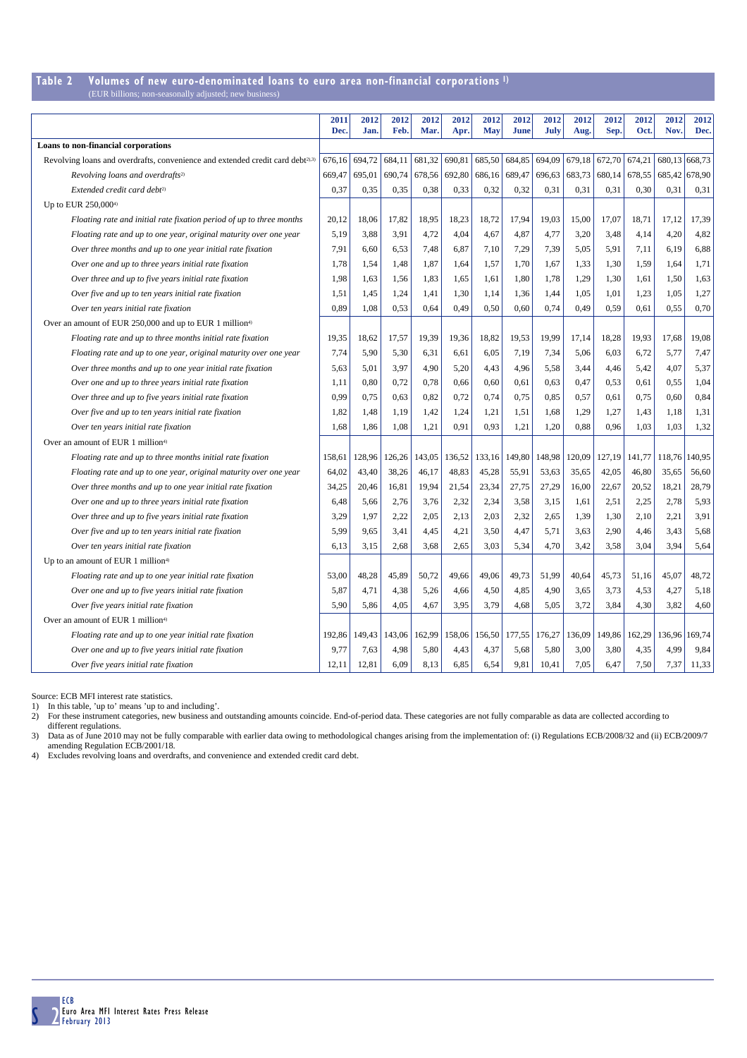## **Table 2 Volumes of new euro-denominated loans to euro area non-financial corporations 1)**

| (EUR billions; non-seasonally adjusted; new business) |  |  |  |
|-------------------------------------------------------|--|--|--|
|-------------------------------------------------------|--|--|--|

|                                                                                            | 2011<br>Dec. | 2012<br>Jan. | 2012<br>Feb. | 2012<br>Mar. | 2012<br>Apr. | 2012<br><b>May</b> | 2012<br><b>June</b> | 2012<br>July | 2012<br>Aug. | 2012<br>Sep.  | 2012<br>Oct. | 2012<br>Nov.  | 2012<br>Dec.  |
|--------------------------------------------------------------------------------------------|--------------|--------------|--------------|--------------|--------------|--------------------|---------------------|--------------|--------------|---------------|--------------|---------------|---------------|
| Loans to non-financial corporations                                                        |              |              |              |              |              |                    |                     |              |              |               |              |               |               |
| Revolving loans and overdrafts, convenience and extended credit card debt <sup>2),3)</sup> | 676,16       | 694,72       | 684,11       | 681,32       | 690,81       | 685,50             | 684,85              | 694,09       |              | 679,18 672,70 | 674,21       | 680,13 668,73 |               |
| Revolving loans and overdrafts <sup>2)</sup>                                               | 669,47       | 695,01       | 690,74       | 678,56       | 692,80       | 686,16             | 689,47              | 696,63       | 683,73       | 680,14        | 678,55       |               | 685,42 678,90 |
| Extended credit card debt <sup>2)</sup>                                                    | 0,37         | 0,35         | 0,35         | 0,38         | 0.33         | 0,32               | 0,32                | 0,31         | 0,31         | 0,31          | 0,30         | 0,31          | 0,31          |
| Up to EUR 250,0004)                                                                        |              |              |              |              |              |                    |                     |              |              |               |              |               |               |
| Floating rate and initial rate fixation period of up to three months                       | 20,12        | 18,06        | 17,82        | 18,95        | 18,23        | 18,72              | 17,94               | 19,03        | 15,00        | 17,07         | 18,71        | 17,12         | 17,39         |
| Floating rate and up to one year, original maturity over one year                          | 5,19         | 3,88         | 3,91         | 4,72         | 4,04         | 4,67               | 4,87                | 4,77         | 3,20         | 3,48          | 4,14         | 4,20          | 4,82          |
| Over three months and up to one year initial rate fixation                                 | 7,91         | 6,60         | 6,53         | 7,48         | 6,87         | 7,10               | 7,29                | 7,39         | 5,05         | 5,91          | 7,11         | 6,19          | 6,88          |
| Over one and up to three years initial rate fixation                                       | 1,78         | 1,54         | 1,48         | 1,87         | 1,64         | 1,57               | 1,70                | 1,67         | 1,33         | 1,30          | 1,59         | 1,64          | 1,71          |
| Over three and up to five years initial rate fixation                                      | 1,98         | 1,63         | 1,56         | 1,83         | 1,65         | 1,61               | 1,80                | 1,78         | 1,29         | 1,30          | 1,61         | 1,50          | 1,63          |
| Over five and up to ten years initial rate fixation                                        | 1,51         | 1,45         | 1,24         | 1,41         | 1,30         | 1,14               | 1,36                | 1,44         | 1,05         | 1,01          | 1,23         | 1,05          | 1,27          |
| Over ten years initial rate fixation                                                       | 0.89         | 1,08         | 0,53         | 0,64         | 0,49         | 0,50               | 0,60                | 0,74         | 0,49         | 0,59          | 0,61         | 0,55          | 0,70          |
| Over an amount of EUR 250,000 and up to EUR 1 million <sup>4)</sup>                        |              |              |              |              |              |                    |                     |              |              |               |              |               |               |
| Floating rate and up to three months initial rate fixation                                 | 19,35        | 18,62        | 17,57        | 19,39        | 19,36        | 18,82              | 19,53               | 19,99        | 17,14        | 18,28         | 19,93        | 17,68         | 19,08         |
| Floating rate and up to one year, original maturity over one year                          | 7,74         | 5,90         | 5,30         | 6,31         | 6,61         | 6,05               | 7,19                | 7,34         | 5,06         | 6,03          | 6,72         | 5,77          | 7,47          |
| Over three months and up to one year initial rate fixation                                 | 5,63         | 5,01         | 3,97         | 4,90         | 5,20         | 4,43               | 4,96                | 5,58         | 3,44         | 4,46          | 5,42         | 4,07          | 5,37          |
| Over one and up to three years initial rate fixation                                       | 1,11         | 0,80         | 0,72         | 0,78         | 0,66         | 0,60               | 0,61                | 0,63         | 0,47         | 0,53          | 0,61         | 0,55          | 1,04          |
| Over three and up to five years initial rate fixation                                      | 0,99         | 0,75         | 0,63         | 0,82         | 0,72         | 0,74               | 0,75                | 0,85         | 0,57         | 0,61          | 0,75         | 0,60          | 0,84          |
| Over five and up to ten years initial rate fixation                                        | 1,82         | 1,48         | 1,19         | 1,42         | 1,24         | 1,21               | 1,51                | 1,68         | 1,29         | 1,27          | 1,43         | 1,18          | 1,31          |
| Over ten years initial rate fixation                                                       | 1,68         | 1,86         | 1,08         | 1,21         | 0.91         | 0,93               | 1,21                | 1,20         | 0,88         | 0.96          | 1.03         | 1,03          | 1,32          |
| Over an amount of EUR 1 million <sup>4)</sup>                                              |              |              |              |              |              |                    |                     |              |              |               |              |               |               |
| Floating rate and up to three months initial rate fixation                                 | 158,61       | 128,96       | 126,26       | 143,05       | 136,52       | 133,16             | 149,80              | 148,98       | 120,09       | 127,19        | 141,77       | 118,76        | 140,95        |
| Floating rate and up to one year, original maturity over one year                          | 64,02        | 43,40        | 38,26        | 46,17        | 48,83        | 45,28              | 55,91               | 53,63        | 35,65        | 42,05         | 46,80        | 35,65         | 56,60         |
| Over three months and up to one year initial rate fixation                                 | 34,25        | 20,46        | 16,81        | 19,94        | 21,54        | 23,34              | 27,75               | 27,29        | 16,00        | 22,67         | 20,52        | 18,21         | 28,79         |
| Over one and up to three years initial rate fixation                                       | 6,48         | 5,66         | 2,76         | 3,76         | 2,32         | 2,34               | 3,58                | 3,15         | 1,61         | 2,51          | 2,25         | 2,78          | 5,93          |
| Over three and up to five years initial rate fixation                                      | 3,29         | 1,97         | 2,22         | 2,05         | 2,13         | 2,03               | 2,32                | 2,65         | 1,39         | 1,30          | 2,10         | 2,21          | 3,91          |
| Over five and up to ten years initial rate fixation                                        | 5,99         | 9,65         | 3,41         | 4,45         | 4,21         | 3,50               | 4,47                | 5,71         | 3,63         | 2,90          | 4,46         | 3,43          | 5,68          |
| Over ten years initial rate fixation                                                       | 6,13         | 3,15         | 2,68         | 3,68         | 2,65         | 3,03               | 5,34                | 4,70         | 3,42         | 3,58          | 3,04         | 3,94          | 5,64          |
| Up to an amount of EUR 1 million <sup>4)</sup>                                             |              |              |              |              |              |                    |                     |              |              |               |              |               |               |
| Floating rate and up to one year initial rate fixation                                     | 53,00        | 48,28        | 45,89        | 50,72        | 49,66        | 49,06              | 49,73               | 51,99        | 40,64        | 45,73         | 51,16        | 45,07         | 48,72         |
| Over one and up to five years initial rate fixation                                        | 5,87         | 4,71         | 4,38         | 5,26         | 4,66         | 4,50               | 4,85                | 4,90         | 3,65         | 3,73          | 4,53         | 4,27          | 5,18          |
| Over five years initial rate fixation                                                      | 5,90         | 5,86         | 4,05         | 4,67         | 3,95         | 3,79               | 4,68                | 5,05         | 3,72         | 3,84          | 4,30         | 3,82          | 4,60          |
| Over an amount of EUR 1 million <sup>4)</sup>                                              |              |              |              |              |              |                    |                     |              |              |               |              |               |               |
| Floating rate and up to one year initial rate fixation                                     | 192,86       | 149,43       | 143,06       | 162,99       | 158,06       | 156,50             | 177,55              | 176,27       | 136,09       | 149,86        | 162,29       |               | 136,96 169,74 |
| Over one and up to five years initial rate fixation                                        | 9,77         | 7,63         | 4,98         | 5,80         | 4,43         | 4,37               | 5,68                | 5,80         | 3,00         | 3,80          | 4,35         | 4,99          | 9,84          |
| Over five years initial rate fixation                                                      | 12,11        | 12,81        | 6,09         | 8,13         | 6,85         | 6,54               | 9,81                | 10,41        | 7,05         | 6,47          | 7,50         | 7,37          | 11,33         |

Source: ECB MFI interest rate statistics.

1) In this table, 'up to' means 'up to and including'.<br>2) For these instrument categories, new business and outstanding amounts coincide. End-of-period data. These categories are not fully comparable as data are collected

different regulations. 3) Data as of June 2010 may not be fully comparable with earlier data owing to methodological changes arising from the implementation of: (i) Regulations ECB/2008/32 and (ii) ECB/2009/7 amending Regulation ECB/2001/18.<br>4)

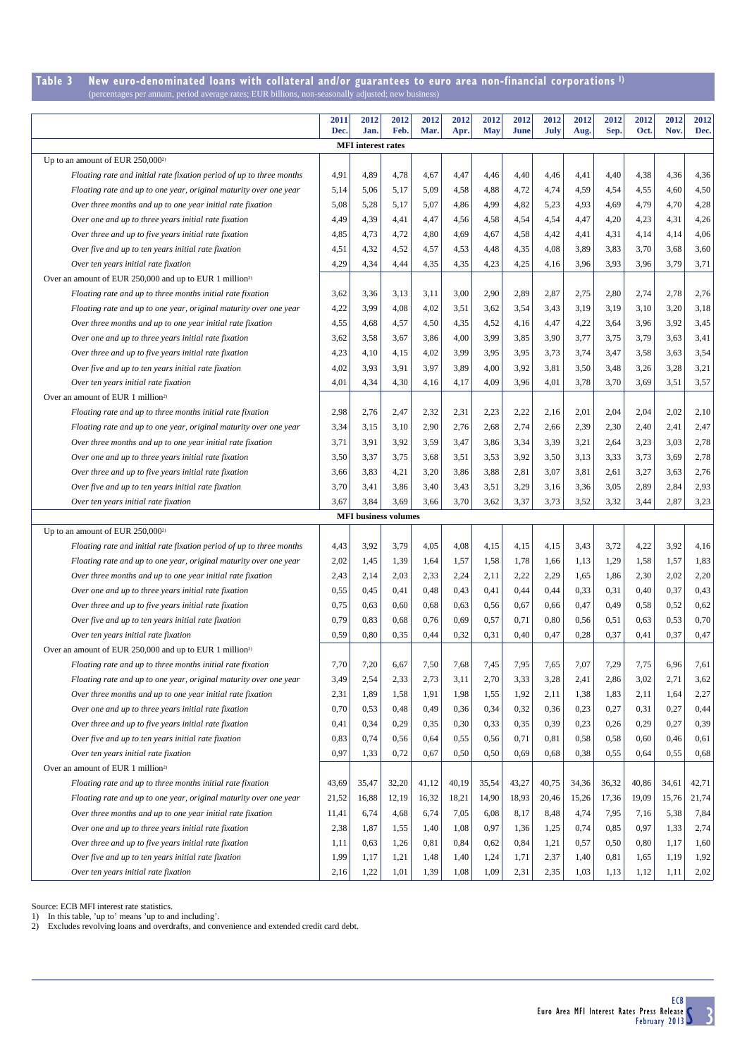#### **Table 3 New euro-denominated loans with collateral and/or guarantees to euro area non-financial corporations 1)** (percentages per annum, period average rates; EUR billions, non-seasonally adjusted; new business)

|                                                                                                              | 2011<br>Dec. | 2012<br>Jan.                | 2012<br>Feb. | 2012<br>Mar. | 2012         | 2012<br><b>May</b> | 2012<br>June | 2012<br><b>July</b> | 2012         | 2012<br>Sep. | 2012<br>Oct. | 2012<br>Nov. | 2012<br>Dec. |
|--------------------------------------------------------------------------------------------------------------|--------------|-----------------------------|--------------|--------------|--------------|--------------------|--------------|---------------------|--------------|--------------|--------------|--------------|--------------|
|                                                                                                              |              | <b>MFI</b> interest rates   |              |              | Apr.         |                    |              |                     | Aug.         |              |              |              |              |
| Up to an amount of EUR $250,000^{2}$                                                                         |              |                             |              |              |              |                    |              |                     |              |              |              |              |              |
| Floating rate and initial rate fixation period of up to three months                                         | 4,91         | 4,89                        | 4,78         | 4,67         | 4,47         | 4,46               | 4,40         | 4,46                | 4,41         | 4,40         | 4,38         | 4,36         | 4,36         |
| Floating rate and up to one year, original maturity over one year                                            | 5,14         | 5,06                        | 5,17         | 5,09         | 4,58         | 4,88               | 4,72         | 4,74                | 4,59         | 4,54         | 4,55         | 4,60         | 4,50         |
| Over three months and up to one year initial rate fixation                                                   | 5,08         | 5,28                        | 5,17         | 5,07         | 4,86         | 4,99               | 4,82         | 5,23                | 4,93         | 4,69         | 4,79         | 4,70         | 4,28         |
| Over one and up to three years initial rate fixation                                                         | 4,49         | 4,39                        | 4,41         | 4,47         | 4,56         | 4,58               | 4,54         | 4,54                | 4,47         | 4,20         | 4,23         | 4,31         | 4,26         |
| Over three and up to five years initial rate fixation                                                        | 4,85         | 4,73                        | 4,72         | 4,80         | 4,69         | 4,67               | 4,58         | 4,42                | 4,41         | 4,31         | 4,14         | 4,14         | 4,06         |
| Over five and up to ten years initial rate fixation                                                          | 4,51         | 4,32                        | 4,52         | 4,57         | 4,53         | 4,48               | 4,35         | 4,08                | 3,89         | 3,83         | 3,70         | 3,68         | 3,60         |
| Over ten years initial rate fixation                                                                         | 4,29         | 4,34                        | 4,44         | 4,35         | 4,35         | 4,23               | 4,25         | 4,16                | 3,96         | 3,93         | 3,96         | 3,79         | 3,71         |
| Over an amount of EUR 250,000 and up to EUR 1 million <sup>2)</sup>                                          |              |                             |              |              |              |                    |              |                     |              |              |              |              |              |
| Floating rate and up to three months initial rate fixation                                                   | 3,62         | 3,36                        | 3,13         | 3,11         | 3,00         | 2,90               | 2,89         | 2,87                | 2,75         | 2,80         | 2,74         | 2,78         | 2,76         |
| Floating rate and up to one year, original maturity over one year                                            | 4,22         | 3,99                        | 4,08         | 4,02         | 3,51         | 3,62               | 3,54         | 3,43                | 3,19         | 3,19         | 3,10         | 3,20         | 3,18         |
| Over three months and up to one year initial rate fixation                                                   | 4,55         | 4,68                        | 4,57         | 4,50         | 4,35         | 4,52               | 4,16         | 4,47                | 4,22         | 3,64         | 3,96         | 3,92         | 3,45         |
| Over one and up to three years initial rate fixation                                                         | 3,62         | 3,58                        | 3,67         | 3,86         | 4,00         | 3,99               | 3,85         | 3,90                | 3,77         | 3,75         | 3,79         | 3,63         | 3,41         |
| Over three and up to five years initial rate fixation                                                        | 4,23         | 4,10                        | 4,15         | 4,02         | 3,99         | 3,95               | 3,95         | 3,73                | 3,74         | 3,47         | 3,58         | 3,63         | 3,54         |
| Over five and up to ten years initial rate fixation                                                          | 4,02         | 3,93                        | 3,91         | 3,97         | 3,89         | 4,00               | 3,92         | 3,81                | 3,50         | 3,48         | 3,26         | 3,28         | 3,21         |
| Over ten years initial rate fixation                                                                         | 4,01         | 4,34                        | 4,30         | 4,16         | 4,17         | 4,09               | 3,96         | 4,01                | 3,78         | 3,70         | 3,69         | 3,51         | 3,57         |
| Over an amount of EUR 1 million <sup>2)</sup>                                                                |              |                             |              |              |              |                    |              |                     |              |              |              |              |              |
| Floating rate and up to three months initial rate fixation                                                   | 2,98         | 2,76                        | 2,47         | 2,32         | 2,31         | 2,23               | 2,22         | 2,16                | 2,01         | 2,04         | 2,04         | 2,02         | 2,10         |
| Floating rate and up to one year, original maturity over one year                                            | 3,34         | 3,15                        | 3,10         | 2,90         | 2,76         | 2,68               | 2,74         | 2,66                | 2,39         | 2,30         | 2,40         | 2,41         | 2,47         |
| Over three months and up to one year initial rate fixation                                                   | 3,71         | 3,91                        | 3,92         | 3,59         | 3,47         | 3,86               | 3,34         | 3,39                | 3,21         | 2,64         | 3,23         | 3,03         | 2,78         |
| Over one and up to three years initial rate fixation                                                         | 3,50         | 3,37                        | 3,75         | 3,68         | 3,51         | 3,53               | 3,92         | 3,50                | 3,13         | 3,33         | 3,73         | 3,69         | 2,78         |
| Over three and up to five years initial rate fixation                                                        | 3,66         | 3,83                        | 4,21         | 3,20         | 3,86         | 3,88               | 2,81         | 3,07                | 3,81         | 2,61         | 3,27         | 3,63         | 2,76         |
| Over five and up to ten years initial rate fixation                                                          | 3,70         | 3,41                        | 3,86         | 3,40         | 3,43         | 3,51               | 3,29         | 3,16                | 3,36         | 3,05         | 2,89         | 2,84         | 2,93         |
| Over ten years initial rate fixation                                                                         | 3,67         | 3,84                        | 3,69         | 3,66         | 3,70         | 3,62               | 3,37         | 3,73                | 3,52         | 3,32         | 3,44         | 2,87         | 3,23         |
|                                                                                                              |              | <b>MFI</b> business volumes |              |              |              |                    |              |                     |              |              |              |              |              |
| Up to an amount of EUR 250,000 <sup>2)</sup>                                                                 |              |                             |              |              |              |                    |              |                     |              |              |              |              |              |
| Floating rate and initial rate fixation period of up to three months                                         | 4,43         | 3,92                        | 3,79         | 4,05         | 4,08         | 4,15               | 4,15         | 4,15                | 3,43         | 3,72         | 4,22         | 3,92         | 4,16         |
| Floating rate and up to one year, original maturity over one year                                            | 2,02         | 1,45                        | 1,39         | 1,64         | 1,57         | 1,58               | 1,78         | 1,66                | 1,13         | 1,29         | 1,58         | 1,57         | 1,83         |
| Over three months and up to one year initial rate fixation                                                   | 2,43         | 2,14                        | 2,03         | 2,33         | 2,24         | 2,11               | 2,22         | 2,29                | 1,65         | 1,86         | 2,30         | 2,02         | 2,20         |
| Over one and up to three years initial rate fixation                                                         | 0,55         | 0,45                        | 0,41         | 0,48         | 0,43         | 0,41               | 0,44         | 0,44                | 0,33         | 0,31         | 0,40         | 0,37         | 0,43         |
| Over three and up to five years initial rate fixation                                                        | 0,75         | 0,63                        | 0,60         | 0,68         | 0,63         | 0,56               | 0,67         | 0,66                | 0,47         | 0,49         | 0,58         | 0,52         | 0,62         |
| Over five and up to ten years initial rate fixation                                                          | 0,79         | 0,83                        | 0,68         | 0,76         | 0,69         | 0,57               | 0,71         | 0,80                | 0,56         | 0,51         | 0,63         | 0,53         | 0,70         |
| Over ten years initial rate fixation                                                                         | 0,59         | 0,80                        | 0,35         | 0,44         | 0,32         | 0,31               | 0,40         | 0,47                | 0,28         | 0,37         | 0,41         | 0,37         | 0,47         |
| Over an amount of EUR 250,000 and up to EUR 1 million <sup>2)</sup>                                          |              |                             |              |              |              |                    |              |                     |              |              |              |              |              |
| Floating rate and up to three months initial rate fixation                                                   | 7,70         | 7,20                        | 6,67         | 7,50         | 7,68         | 7,45               | 7,95         | 7,65                | 7,07         | 7,29         | 7,75         | 6,96         | 7,61         |
| Floating rate and up to one year, original maturity over one year                                            | 3,49         | 2,54                        | 2,33         | 2,73         | 3,11         | 2,70               | 3,33         | 3,28                | 2,41         | 2,86         | 3,02         | 2,71         | 3,62         |
| Over three months and up to one year initial rate fixation                                                   | 2,31         | 1,89                        | 1,58         | 1,91         | 1,98         | 1,55               | 1,92         | 2,11                | 1,38         | 1,83         | 2,11         | 1,64         | 2,27         |
| Over one and up to three years initial rate fixation                                                         | 0,70         | 0,53                        | 0,48         | 0,49         | 0,36         | 0,34               | 0,32         | 0,36                | 0,23         | 0,27         | 0,31         | 0,27         | 0,44         |
| Over three and up to five years initial rate fixation                                                        | 0,41         | 0,34                        | 0,29         | 0,35         | 0,30         | 0,33               | 0,35         | 0,39                | 0,23         | 0,26         | 0,29         | 0,27         | 0,39         |
| Over five and up to ten years initial rate fixation                                                          | 0,83         | 0,74                        | 0,56         | 0,64         | 0,55         | 0,56               | 0,71         | 0,81                | 0,58         | 0,58         | 0,60         | 0,46         | 0,61         |
| Over ten years initial rate fixation                                                                         | 0,97         | 1,33                        | 0,72         | 0,67         | 0,50         | 0,50               | 0,69         | 0.68                | 0,38         | 0,55         | 0.64         | 0,55         | 0,68         |
| Over an amount of EUR 1 million <sup>2)</sup>                                                                |              |                             |              |              |              |                    |              |                     |              |              |              |              |              |
| Floating rate and up to three months initial rate fixation                                                   | 43,69        | 35,47                       | 32,20        | 41,12        | 40,19        | 35,54              | 43,27        | 40,75               | 34,36        | 36,32        | 40,86        | 34,61        | 42,71        |
| Floating rate and up to one year, original maturity over one year                                            | 21,52        | 16,88                       | 12,19        | 16,32        | 18,21        | 14,90              | 18,93        | 20,46               | 15,26        | 17,36        | 19,09        | 15,76        | 21,74        |
| Over three months and up to one year initial rate fixation                                                   | 11,41        | 6,74                        | 4,68         | 6,74         | 7,05         | 6,08               | 8,17         | 8,48                | 4,74         | 7,95         | 7,16         | 5,38         | 7,84         |
| Over one and up to three years initial rate fixation                                                         | 2,38         | 1,87<br>0,63                | 1,55         | 1,40<br>0,81 | 1,08<br>0,84 | 0,97               | 1,36<br>0,84 | 1,25<br>1,21        | 0,74<br>0,57 | 0,85<br>0,50 | 0,97<br>0,80 | 1,33<br>1,17 | 2,74<br>1,60 |
| Over three and up to five years initial rate fixation<br>Over five and up to ten years initial rate fixation | 1,11         |                             | 1,26         |              |              | 0,62               |              |                     |              |              |              | 1,19         | 1,92         |
|                                                                                                              | 1,99         | 1,17                        | 1,21         | 1,48         | 1,40         | 1,24               | 1,71         | 2,37                | 1,40         | 0,81         | 1,65         |              |              |

Source: ECB MFI interest rate statistics. 1) In this table, 'up to' means 'up to and including'. 2) Excludes revolving loans and overdrafts, and convenience and extended credit card debt.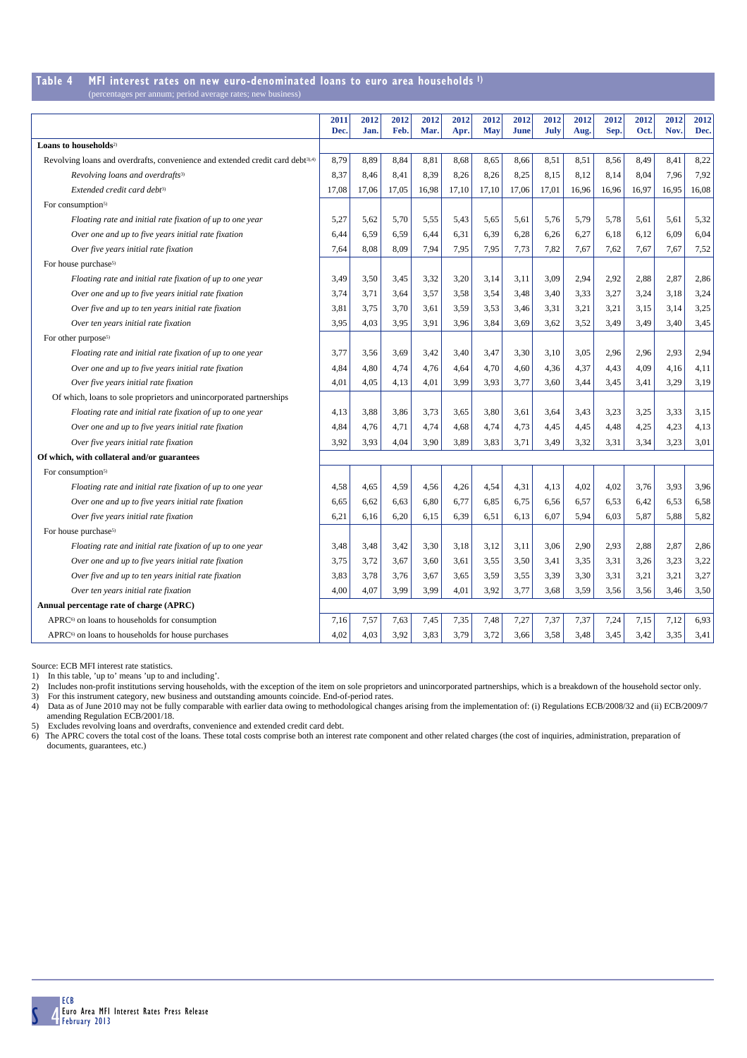### **Table 4 MFI interest rates on new euro-denominated loans to euro area households 1)**

| (percentages per annum; period average rates; new business) |  |
|-------------------------------------------------------------|--|
|-------------------------------------------------------------|--|

|                                                                                            | 2011<br>Dec. | 2012<br>Jan. | 2012<br>Feb. | 2012<br>Mar. | 2012<br>Apr. | 2012<br><b>May</b> | 2012<br><b>June</b> | 2012<br>July | 2012<br>Aug. | 2012<br>Sep. | 2012<br>Oct. | 2012<br>Nov. | 2012<br>Dec. |
|--------------------------------------------------------------------------------------------|--------------|--------------|--------------|--------------|--------------|--------------------|---------------------|--------------|--------------|--------------|--------------|--------------|--------------|
| Loans to households <sup>2)</sup>                                                          |              |              |              |              |              |                    |                     |              |              |              |              |              |              |
| Revolving loans and overdrafts, convenience and extended credit card debt <sup>3),4)</sup> | 8,79         | 8,89         | 8,84         | 8,81         | 8,68         | 8,65               | 8,66                | 8,51         | 8,51         | 8,56         | 8,49         | 8,41         | 8,22         |
| Revolving loans and overdrafts <sup>3)</sup>                                               | 8,37         | 8,46         | 8,41         | 8,39         | 8,26         | 8,26               | 8,25                | 8,15         | 8,12         | 8,14         | 8,04         | 7,96         | 7,92         |
| Extended credit card debt <sup>3)</sup>                                                    | 17,08        | 17,06        | 17,05        | 16,98        | 17,10        | 17,10              | 17,06               | 17,01        | 16,96        | 16,96        | 16,97        | 16,95        | 16,08        |
| For consumption <sup>5)</sup>                                                              |              |              |              |              |              |                    |                     |              |              |              |              |              |              |
| Floating rate and initial rate fixation of up to one year                                  | 5,27         | 5,62         | 5,70         | 5,55         | 5,43         | 5,65               | 5,61                | 5,76         | 5,79         | 5,78         | 5,61         | 5,61         | 5,32         |
| Over one and up to five years initial rate fixation                                        | 6,44         | 6,59         | 6,59         | 6,44         | 6,31         | 6,39               | 6,28                | 6,26         | 6,27         | 6,18         | 6,12         | 6,09         | 6,04         |
| Over five years initial rate fixation                                                      | 7,64         | 8,08         | 8,09         | 7,94         | 7,95         | 7,95               | 7,73                | 7,82         | 7,67         | 7,62         | 7,67         | 7,67         | 7,52         |
| For house purchase <sup>5)</sup>                                                           |              |              |              |              |              |                    |                     |              |              |              |              |              |              |
| Floating rate and initial rate fixation of up to one year                                  | 3,49         | 3,50         | 3,45         | 3,32         | 3,20         | 3,14               | 3,11                | 3,09         | 2,94         | 2,92         | 2,88         | 2,87         | 2,86         |
| Over one and up to five years initial rate fixation                                        | 3,74         | 3,71         | 3,64         | 3,57         | 3,58         | 3,54               | 3,48                | 3.40         | 3,33         | 3,27         | 3,24         | 3,18         | 3,24         |
| Over five and up to ten years initial rate fixation                                        | 3,81         | 3,75         | 3,70         | 3,61         | 3,59         | 3,53               | 3,46                | 3,31         | 3,21         | 3,21         | 3,15         | 3,14         | 3,25         |
| Over ten years initial rate fixation                                                       | 3,95         | 4,03         | 3,95         | 3,91         | 3,96         | 3,84               | 3,69                | 3,62         | 3,52         | 3,49         | 3,49         | 3,40         | 3,45         |
| For other purpose <sup>5)</sup>                                                            |              |              |              |              |              |                    |                     |              |              |              |              |              |              |
| Floating rate and initial rate fixation of up to one year                                  | 3,77         | 3,56         | 3,69         | 3,42         | 3,40         | 3,47               | 3,30                | 3,10         | 3,05         | 2,96         | 2,96         | 2,93         | 2,94         |
| Over one and up to five years initial rate fixation                                        | 4,84         | 4,80         | 4,74         | 4,76         | 4,64         | 4,70               | 4,60                | 4,36         | 4,37         | 4,43         | 4,09         | 4,16         | 4,11         |
| Over five years initial rate fixation                                                      | 4,01         | 4,05         | 4,13         | 4,01         | 3,99         | 3,93               | 3,77                | 3,60         | 3,44         | 3,45         | 3,41         | 3,29         | 3,19         |
| Of which, loans to sole proprietors and unincorporated partnerships                        |              |              |              |              |              |                    |                     |              |              |              |              |              |              |
| Floating rate and initial rate fixation of up to one year                                  | 4,13         | 3,88         | 3,86         | 3,73         | 3,65         | 3,80               | 3,61                | 3,64         | 3,43         | 3,23         | 3,25         | 3,33         | 3,15         |
| Over one and up to five years initial rate fixation                                        | 4,84         | 4,76         | 4,71         | 4,74         | 4,68         | 4,74               | 4,73                | 4,45         | 4,45         | 4,48         | 4,25         | 4,23         | 4,13         |
| Over five years initial rate fixation                                                      | 3,92         | 3,93         | 4,04         | 3,90         | 3,89         | 3,83               | 3,71                | 3,49         | 3,32         | 3,31         | 3,34         | 3,23         | 3,01         |
| Of which, with collateral and/or guarantees                                                |              |              |              |              |              |                    |                     |              |              |              |              |              |              |
| For consumption <sup>5)</sup>                                                              |              |              |              |              |              |                    |                     |              |              |              |              |              |              |
| Floating rate and initial rate fixation of up to one year                                  | 4,58         | 4,65         | 4,59         | 4,56         | 4,26         | 4,54               | 4,31                | 4,13         | 4,02         | 4,02         | 3,76         | 3,93         | 3,96         |
| Over one and up to five years initial rate fixation                                        | 6,65         | 6,62         | 6,63         | 6,80         | 6,77         | 6,85               | 6,75                | 6,56         | 6,57         | 6,53         | 6,42         | 6,53         | 6,58         |
| Over five years initial rate fixation                                                      | 6,21         | 6,16         | 6,20         | 6,15         | 6,39         | 6,51               | 6,13                | 6,07         | 5,94         | 6,03         | 5,87         | 5,88         | 5,82         |
| For house purchase <sup>5)</sup>                                                           |              |              |              |              |              |                    |                     |              |              |              |              |              |              |
| Floating rate and initial rate fixation of up to one year                                  | 3,48         | 3,48         | 3,42         | 3,30         | 3,18         | 3,12               | 3,11                | 3,06         | 2,90         | 2,93         | 2,88         | 2,87         | 2,86         |
| Over one and up to five years initial rate fixation                                        | 3,75         | 3,72         | 3,67         | 3,60         | 3,61         | 3,55               | 3,50                | 3,41         | 3,35         | 3,31         | 3,26         | 3,23         | 3,22         |
| Over five and up to ten years initial rate fixation                                        | 3,83         | 3,78         | 3,76         | 3,67         | 3,65         | 3,59               | 3,55                | 3,39         | 3,30         | 3,31         | 3,21         | 3,21         | 3,27         |
| Over ten years initial rate fixation                                                       | 4,00         | 4,07         | 3,99         | 3,99         | 4,01         | 3,92               | 3,77                | 3,68         | 3,59         | 3,56         | 3,56         | 3,46         | 3,50         |
| Annual percentage rate of charge (APRC)                                                    |              |              |              |              |              |                    |                     |              |              |              |              |              |              |
| APRC <sup>6)</sup> on loans to households for consumption                                  | 7,16         | 7,57         | 7,63         | 7,45         | 7,35         | 7,48               | 7,27                | 7,37         | 7,37         | 7,24         | 7,15         | 7,12         | 6,93         |
| APRC <sup>6)</sup> on loans to households for house purchases                              | 4.02         | 4,03         | 3,92         | 3,83         | 3,79         | 3,72               | 3,66                | 3,58         | 3,48         | 3,45         | 3,42         | 3,35         | 3,41         |

Source: ECB MFI interest rate statistics.

1) In this table, 'up to' means 'up to and including'.

2) Includes non-profit institutions serving households, with the exception of the item on sole proprietors and unincorporated partnerships, which is a breakdown of the household sector only.<br>3) For this instrument category amending Regulation ECB/2001/18.

5) Excludes revolving loans and overdrafts, convenience and extended credit card debt.

6) The APRC covers the total cost of the loans. These total costs comprise both an interest rate component and other related charges (the cost of inquiries, administration, preparation of documents, guarantees, etc.)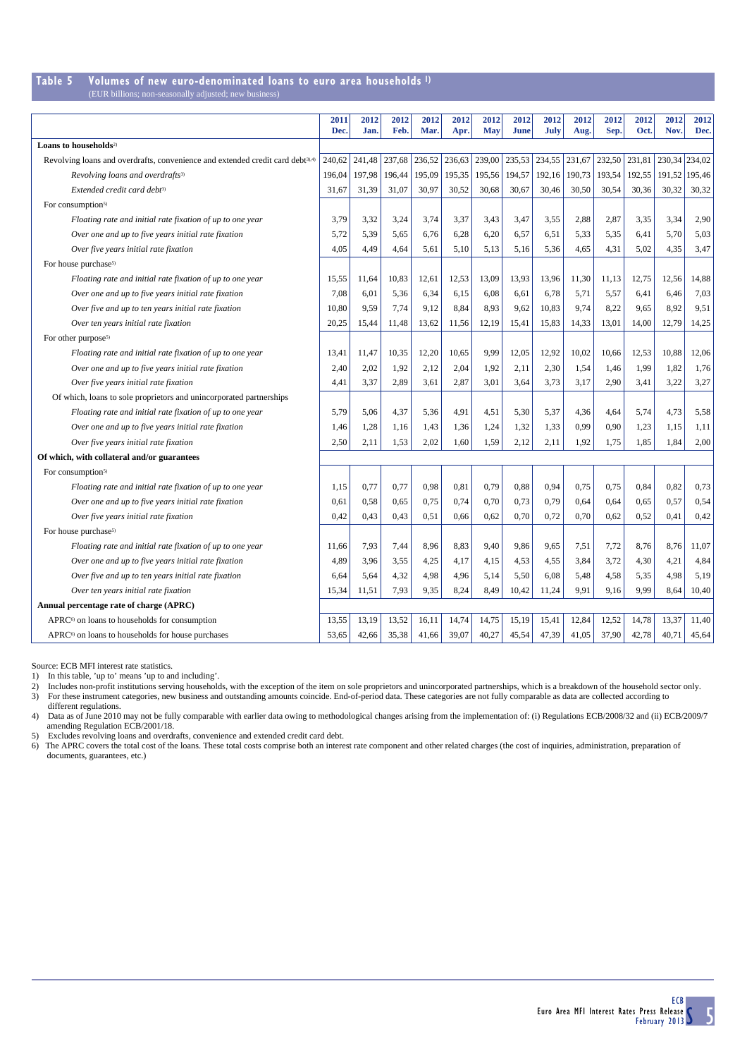### **Table 5 Volumes of new euro-denominated loans to euro area households 1)**

(EUR billions; non-seasonally adjusted; new busi

|                                                                                            | 2011<br>Dec. | 2012<br>Jan. | 2012<br>Feb. | 2012<br>Mar. | 2012<br>Apr. | 2012<br><b>May</b> | 2012<br><b>June</b> | 2012<br>July | 2012<br>Aug. | 2012<br>Sep.  | 2012<br>Oct. | 2012<br>Nov.  | 2012<br>Dec.  |
|--------------------------------------------------------------------------------------------|--------------|--------------|--------------|--------------|--------------|--------------------|---------------------|--------------|--------------|---------------|--------------|---------------|---------------|
| Loans to households <sup>2)</sup>                                                          |              |              |              |              |              |                    |                     |              |              |               |              |               |               |
| Revolving loans and overdrafts, convenience and extended credit card debt <sup>3),4)</sup> | 240,62       | 241,48       | 237,68       | 236,52       | 236,63       | 239,00             | 235,53              | 234,55       | 231,67       | 232,50 231,81 |              | 230,34 234,02 |               |
| Revolving loans and overdrafts <sup>3)</sup>                                               | 196,04       | 197,98       | 196,44       | 195,09       | 195,35       | 195,56             | 194,57              | 192, 16      | 190,73       | 193,54        | 192,55       |               | 191,52 195,46 |
| Extended credit card debt <sup>3)</sup>                                                    | 31,67        | 31,39        | 31,07        | 30,97        | 30,52        | 30,68              | 30,67               | 30,46        | 30,50        | 30,54         | 30,36        | 30,32         | 30,32         |
| For consumption <sup>5)</sup>                                                              |              |              |              |              |              |                    |                     |              |              |               |              |               |               |
| Floating rate and initial rate fixation of up to one year                                  | 3,79         | 3,32         | 3,24         | 3,74         | 3,37         | 3,43               | 3,47                | 3,55         | 2,88         | 2,87          | 3,35         | 3,34          | 2,90          |
| Over one and up to five years initial rate fixation                                        | 5,72         | 5,39         | 5,65         | 6,76         | 6,28         | 6,20               | 6,57                | 6,51         | 5,33         | 5,35          | 6,41         | 5,70          | 5,03          |
| Over five years initial rate fixation                                                      | 4,05         | 4,49         | 4,64         | 5,61         | 5,10         | 5,13               | 5,16                | 5,36         | 4,65         | 4,31          | 5,02         | 4,35          | 3,47          |
| For house purchase <sup>5)</sup>                                                           |              |              |              |              |              |                    |                     |              |              |               |              |               |               |
| Floating rate and initial rate fixation of up to one year                                  | 15,55        | 11,64        | 10,83        | 12,61        | 12,53        | 13,09              | 13,93               | 13,96        | 11,30        | 11,13         | 12,75        | 12,56         | 14,88         |
| Over one and up to five years initial rate fixation                                        | 7,08         | 6,01         | 5,36         | 6,34         | 6,15         | 6,08               | 6,61                | 6,78         | 5,71         | 5,57          | 6,41         | 6,46          | 7,03          |
| Over five and up to ten years initial rate fixation                                        | 10,80        | 9.59         | 7,74         | 9.12         | 8,84         | 8,93               | 9.62                | 10,83        | 9,74         | 8,22          | 9.65         | 8,92          | 9,51          |
| Over ten years initial rate fixation                                                       | 20,25        | 15,44        | 11,48        | 13,62        | 11,56        | 12,19              | 15,41               | 15,83        | 14,33        | 13,01         | 14,00        | 12,79         | 14,25         |
| For other purpose <sup>5)</sup>                                                            |              |              |              |              |              |                    |                     |              |              |               |              |               |               |
| Floating rate and initial rate fixation of up to one year                                  | 13,41        | 11,47        | 10,35        | 12,20        | 10,65        | 9,99               | 12,05               | 12,92        | 10,02        | 10,66         | 12,53        | 10,88         | 12,06         |
| Over one and up to five years initial rate fixation                                        | 2,40         | 2,02         | 1,92         | 2,12         | 2,04         | 1,92               | 2,11                | 2,30         | 1,54         | 1,46          | 1,99         | 1,82          | 1,76          |
| Over five years initial rate fixation                                                      | 4,41         | 3,37         | 2,89         | 3,61         | 2,87         | 3,01               | 3,64                | 3,73         | 3,17         | 2,90          | 3,41         | 3,22          | 3,27          |
| Of which, loans to sole proprietors and unincorporated partnerships                        |              |              |              |              |              |                    |                     |              |              |               |              |               |               |
| Floating rate and initial rate fixation of up to one year                                  | 5,79         | 5,06         | 4,37         | 5,36         | 4,91         | 4,51               | 5,30                | 5,37         | 4,36         | 4,64          | 5,74         | 4,73          | 5,58          |
| Over one and up to five years initial rate fixation                                        | 1,46         | 1,28         | 1,16         | 1,43         | 1,36         | 1,24               | 1,32                | 1,33         | 0,99         | 0,90          | 1,23         | 1,15          | 1,11          |
| Over five years initial rate fixation                                                      | 2,50         | 2,11         | 1,53         | 2,02         | 1.60         | 1,59               | 2,12                | 2,11         | 1,92         | 1,75          | 1.85         | 1.84          | 2,00          |
| Of which, with collateral and/or guarantees                                                |              |              |              |              |              |                    |                     |              |              |               |              |               |               |
| For consumption <sup>5)</sup>                                                              |              |              |              |              |              |                    |                     |              |              |               |              |               |               |
| Floating rate and initial rate fixation of up to one year                                  | 1,15         | 0,77         | 0,77         | 0,98         | 0,81         | 0,79               | 0,88                | 0.94         | 0,75         | 0,75          | 0,84         | 0,82          | 0,73          |
| Over one and up to five years initial rate fixation                                        | 0,61         | 0,58         | 0,65         | 0,75         | 0,74         | 0,70               | 0,73                | 0,79         | 0,64         | 0,64          | 0,65         | 0,57          | 0,54          |
| Over five years initial rate fixation                                                      | 0,42         | 0,43         | 0,43         | 0,51         | 0,66         | 0,62               | 0,70                | 0,72         | 0,70         | 0,62          | 0,52         | 0,41          | 0,42          |
| For house purchase <sup>5)</sup>                                                           |              |              |              |              |              |                    |                     |              |              |               |              |               |               |
| Floating rate and initial rate fixation of up to one year                                  | 11,66        | 7,93         | 7,44         | 8,96         | 8,83         | 9,40               | 9,86                | 9,65         | 7,51         | 7,72          | 8,76         | 8,76          | 11,07         |
| Over one and up to five years initial rate fixation                                        | 4,89         | 3,96         | 3,55         | 4,25         | 4,17         | 4,15               | 4,53                | 4,55         | 3,84         | 3,72          | 4,30         | 4,21          | 4,84          |
| Over five and up to ten years initial rate fixation                                        | 6,64         | 5,64         | 4,32         | 4,98         | 4,96         | 5,14               | 5,50                | 6,08         | 5,48         | 4,58          | 5,35         | 4,98          | 5,19          |
| Over ten years initial rate fixation                                                       | 15,34        | 11,51        | 7,93         | 9,35         | 8,24         | 8,49               | 10,42               | 11,24        | 9,91         | 9,16          | 9.99         | 8,64          | 10,40         |
| Annual percentage rate of charge (APRC)                                                    |              |              |              |              |              |                    |                     |              |              |               |              |               |               |
| APRC <sup>6)</sup> on loans to households for consumption                                  | 13,55        | 13,19        | 13,52        | 16,11        | 14,74        | 14,75              | 15,19               | 15,41        | 12,84        | 12,52         | 14,78        | 13,37         | 11,40         |
| APRC <sup>6)</sup> on loans to households for house purchases                              | 53,65        | 42,66        | 35,38        | 41,66        | 39,07        | 40,27              | 45,54               | 47,39        | 41,05        | 37,90         | 42,78        | 40,71         | 45,64         |

Source: ECB MFI interest rate statistics.

1) In this table, 'up to' means 'up to and including'.

2) Includes non-profit institutions serving households, with the exception of the item on sole proprietors and unincorporated partnerships, which is a breakdown of the household sector only.<br>3) For these instrument categor

different regulations.

4) Data as of June 2010 may not be fully comparable with earlier data owing to methodological changes arising from the implementation of: (i) Regulations ECB/2008/32 and (ii) ECB/2009/7 amending Regulation ECB/2001/18.

5) Excludes revolving loans and overdrafts, convenience and extended credit card debt.

6) The APRC covers the total cost of the loans. These total costs comprise both an interest rate component and other related charges (the cost of inquiries, administration, preparation of documents, guarantees, etc.)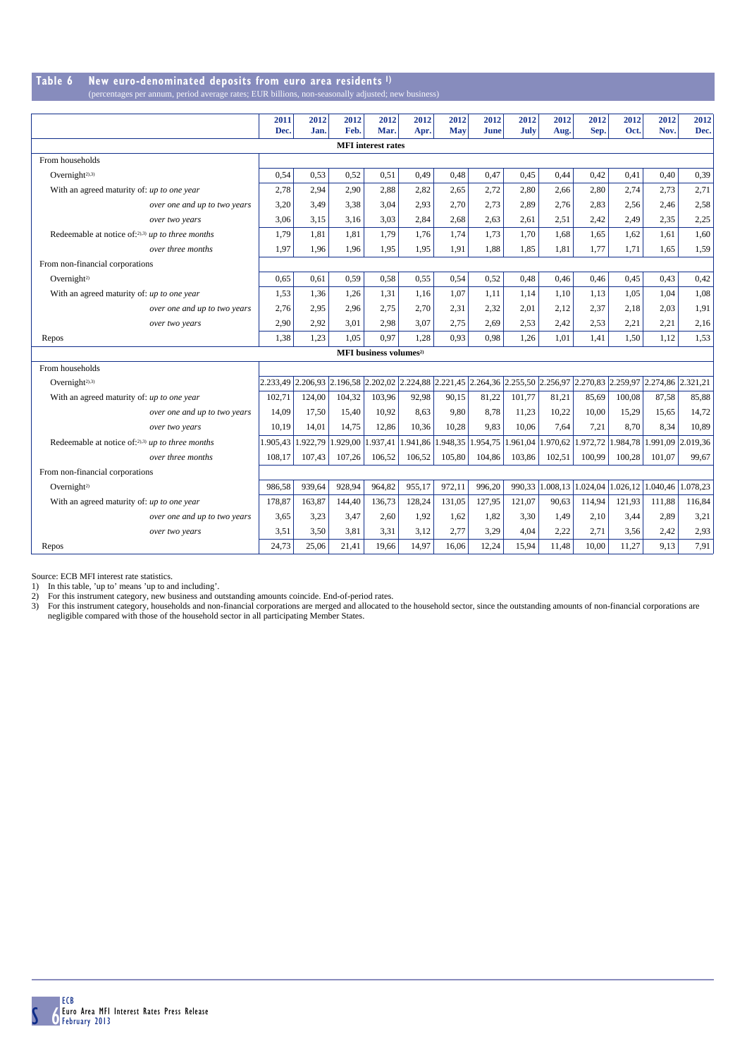#### **Table 6 New euro-denominated deposits from euro area residents 1)** (percentages per annum, period average rates; EUR billions, non-seasonally adjusted; new

|                                                     | 2011     | 2012     | 2012     | 2012                                                                                                                 | 2012     | 2012                                | 2012        | 2012   | 2012            | 2012     | 2012     | 2012                       | 2012     |
|-----------------------------------------------------|----------|----------|----------|----------------------------------------------------------------------------------------------------------------------|----------|-------------------------------------|-------------|--------|-----------------|----------|----------|----------------------------|----------|
|                                                     | Dec.     | Jan.     | Feb.     | Mar.                                                                                                                 | Apr.     | May                                 | <b>June</b> | July   | Aug.            | Sep.     | Oct.     | Nov.                       | Dec.     |
|                                                     |          |          |          | <b>MFI</b> interest rates                                                                                            |          |                                     |             |        |                 |          |          |                            |          |
| From households                                     |          |          |          |                                                                                                                      |          |                                     |             |        |                 |          |          |                            |          |
| Overnight <sup>2),3)</sup>                          | 0,54     | 0,53     | 0,52     | 0,51                                                                                                                 | 0,49     | 0,48                                | 0,47        | 0,45   | 0,44            | 0,42     | 0,41     | 0,40                       | 0,39     |
| With an agreed maturity of: up to one year          | 2,78     | 2,94     | 2,90     | 2,88                                                                                                                 | 2,82     | 2.65                                | 2,72        | 2,80   | 2,66            | 2,80     | 2.74     | 2,73                       | 2,71     |
| over one and up to two years                        | 3,20     | 3.49     | 3,38     | 3,04                                                                                                                 | 2,93     | 2,70                                | 2,73        | 2,89   | 2,76            | 2,83     | 2,56     | 2.46                       | 2,58     |
| over two years                                      | 3.06     | 3.15     | 3.16     | 3.03                                                                                                                 | 2.84     | 2.68                                | 2.63        | 2.61   | 2.51            | 2.42     | 2.49     | 2.35                       | 2,25     |
| Redeemable at notice of:2),3) up to three months    | 1,79     | 1,81     | 1.81     | 1,79                                                                                                                 | 1.76     | 1.74                                | 1.73        | 1.70   | 1.68            | 1,65     | 1,62     | 1.61                       | 1,60     |
| over three months                                   | 1,97     | 1,96     | 1,96     | 1,95                                                                                                                 | 1,95     | 1,91                                | 1,88        | 1,85   | 1,81            | 1,77     | 1,71     | 1,65                       | 1,59     |
| From non-financial corporations                     |          |          |          |                                                                                                                      |          |                                     |             |        |                 |          |          |                            |          |
| Overnight <sup>2)</sup>                             | 0,65     | 0.61     | 0.59     | 0,58                                                                                                                 | 0,55     | 0,54                                | 0,52        | 0.48   | 0,46            | 0,46     | 0.45     | 0,43                       | 0,42     |
| With an agreed maturity of: up to one year          | 1,53     | 1,36     | 1,26     | 1,31                                                                                                                 | 1,16     | 1,07                                | 1,11        | 1,14   | 1,10            | 1,13     | 1,05     | 1,04                       | 1,08     |
| over one and up to two years                        | 2.76     | 2,95     | 2,96     | 2,75                                                                                                                 | 2,70     | 2.31                                | 2,32        | 2,01   | 2.12            | 2.37     | 2.18     | 2.03                       | 1,91     |
| over two years                                      | 2,90     | 2,92     | 3,01     | 2,98                                                                                                                 | 3,07     | 2,75                                | 2,69        | 2,53   | 2,42            | 2,53     | 2,21     | 2,21                       | 2,16     |
| Repos                                               | 1,38     | 1,23     | 1.05     | 0,97                                                                                                                 | 1.28     | 0.93                                | 0,98        | 1,26   | 1.01            | 1.41     | 1,50     | 1.12                       | 1,53     |
|                                                     |          |          |          | MFI business volumes <sup>2)</sup>                                                                                   |          |                                     |             |        |                 |          |          |                            |          |
| From households                                     |          |          |          |                                                                                                                      |          |                                     |             |        |                 |          |          |                            |          |
| Overnight <sup>2),3)</sup>                          |          |          |          | 2.233,49 2.206,93 2.196,58 2.202,02 2.224,88 2.221,45 2.264,36 2.255,50 2.256,97 2.270,83 2.259,97 2.274,86 2.321,21 |          |                                     |             |        |                 |          |          |                            |          |
| With an agreed maturity of: up to one year          | 102,71   | 124,00   | 104,32   | 103.96                                                                                                               | 92,98    | 90,15                               | 81,22       | 101.77 | 81,21           | 85,69    | 100.08   | 87,58                      | 85,88    |
| over one and up to two years                        | 14,09    | 17,50    | 15,40    | 10.92                                                                                                                | 8.63     | 9.80                                | 8,78        | 11,23  | 10,22           | 10.00    | 15,29    | 15,65                      | 14,72    |
| over two years                                      | 10,19    | 14.01    | 14.75    | 12,86                                                                                                                | 10.36    | 10,28                               | 9,83        | 10.06  | 7.64            | 7.21     | 8.70     | 8.34                       | 10.89    |
| Redeemable at notice of: $2,3$ ) up to three months | 1.905,43 | 1.922,79 | 1.929,00 | 1.937,41                                                                                                             | 1.941,86 | 1.948,35 1.954,75 1.961,04 1.970,62 |             |        |                 |          |          | 1.972,72 1.984,78 1.991,09 | 2.019,36 |
| over three months                                   | 108,17   | 107,43   | 107,26   | 106,52                                                                                                               | 106,52   | 105,80                              | 104,86      | 103,86 | 102,51          | 100.99   | 100,28   | 101.07                     | 99,67    |
| From non-financial corporations                     |          |          |          |                                                                                                                      |          |                                     |             |        |                 |          |          |                            |          |
| Overnight <sup>2)</sup>                             | 986,58   | 939.64   | 928,94   | 964,82                                                                                                               | 955,17   | 972,11                              | 996,20      |        | 990,33 1.008,13 | 1.024.04 | 1.026.12 | 1.040.46                   | 1.078,23 |
| With an agreed maturity of: up to one year          | 178,87   | 163,87   | 144,40   | 136,73                                                                                                               | 128,24   | 131,05                              | 127,95      | 121,07 | 90.63           | 114.94   | 121.93   | 111,88                     | 116,84   |
| over one and up to two years                        | 3,65     | 3,23     | 3,47     | 2,60                                                                                                                 | 1,92     | 1,62                                | 1,82        | 3,30   | 1,49            | 2,10     | 3,44     | 2,89                       | 3,21     |
| over two years                                      | 3,51     | 3,50     | 3.81     | 3.31                                                                                                                 | 3,12     | 2,77                                | 3,29        | 4,04   | 2,22            | 2.71     | 3,56     | 2.42                       | 2,93     |
| Repos                                               | 24.73    | 25.06    | 21.41    | 19.66                                                                                                                | 14.97    | 16.06                               | 12,24       | 15.94  | 11.48           | 10.00    | 11.27    | 9.13                       | 7,91     |

Source: ECB MFI interest rate statistics.<br>1) In this table, 'up to' means 'up to and including'.<br>2) For this instrument category, new business and outstanding amounts coincide. End-of-period rates.<br>3) For this instrument c negligible compared with those of the household sector in all participating Member States.